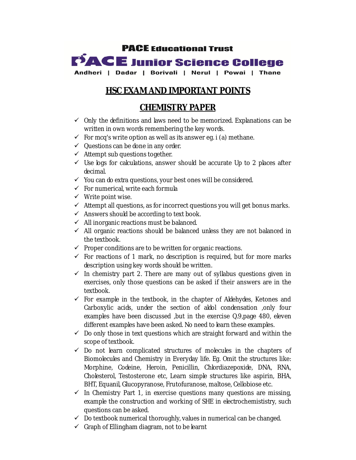

# **HSC EXAM AND IMPORTANT POINTS**

## **CHEMISTRY PAPER**

- $\checkmark$  Only the definitions and laws need to be memorized. Explanations can be written in own words remembering the key words.
- $\checkmark$  For mcq's write option as well as its answer eq. i (a) methane.
- $\checkmark$  Questions can be done in any order.
- $\checkmark$  Attempt sub questions together.
- $\checkmark$  Use logs for calculations, answer should be accurate Up to 2 places after decimal.
- $\checkmark$  You can do extra questions, your best ones will be considered.
- $\checkmark$  For numerical, write each formula
- $\checkmark$  Write point wise.
- $\checkmark$  Attempt all questions, as for incorrect questions you will get bonus marks.
- $\checkmark$  Answers should be according to text book.
- $\checkmark$  All inorganic reactions must be balanced.
- $\checkmark$  All organic reactions should be balanced unless they are not balanced in the textbook.
- $\checkmark$  Proper conditions are to be written for organic reactions.
- $\checkmark$  For reactions of 1 mark, no description is required, but for more marks description using key words should be written.
- $\checkmark$  In chemistry part 2. There are many out of syllabus questions given in exercises, only those questions can be asked if their answers are in the textbook.
- $\checkmark$  For example in the textbook, in the chapter of Aldehydes, Ketones and Carboxylic acids, under the section of aldol condensation , only four examples have been discussed ,but in the exercise Q.9,page 480, eleven different examples have been asked. No need to learn these examples.
- $\checkmark$  Do only those in text questions which are straight forward and within the scope of textbook.
- $\checkmark$  Do not learn complicated structures of molecules in the chapters of Biomolecules and Chemistry in Everyday life. Eg. Omit the structures like: Morphine, Codeine, Heroin, Penicillin, Chlordiazepoxide, DNA, RNA, Cholesterol, Testosterone etc, Learn simple structures like aspirin, BHA, BHT, Equanil, Glucopyranose, Frutofuranose, maltose, Cellobiose etc.
- $\checkmark$  In Chemistry Part 1, in exercise questions many questions are missing, example the construction and working of SHE in electrochemististry, such questions can be asked.
- $\checkmark$  Do textbook numerical thoroughly, values in numerical can be changed.
- $\checkmark$  Graph of Ellingham diagram, not to be learnt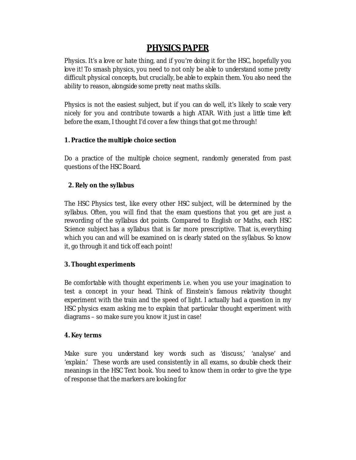## **PHYSICS PAPER**

Physics. It's a love or hate thing, and if you're doing it for the HSC, hopefully you love it! To smash physics, you need to not only be able to understand some pretty difficult physical concepts, but crucially, be able to explain them. You also need the ability to reason, alongside some pretty neat maths skills.

Physics is not the easiest subject, but if you can do well, it's likely to scale very nicely for you and contribute towards a high ATAR. With just a little time left before the exam, I thought I'd cover a few things that got me through!

#### **1. Practice the multiple choice section**

Do a practice of the multiple choice segment, randomly generated from past questions of the HSC Board.

### **2. Rely on the syllabus**

The HSC Physics test, like every other HSC subject, will be determined by the syllabus. Often, you will find that the exam questions that you get are just a rewording of the syllabus dot points. Compared to English or Maths, each HSC Science subject has a syllabus that is far more prescriptive. That is, everything which you can and will be examined on is clearly stated on the syllabus. So know it, go through it and tick off each point!

### **3. Thought experiments**

Be comfortable with thought experiments i.e. when you use your imagination to test a concept in your head. Think of Einstein's famous relativity thought experiment with the train and the speed of light. I actually had a question in my HSC physics exam asking me to explain that particular thought experiment with diagrams – so make sure you know it just in case!

### **4. Key terms**

Make sure you understand key words such as 'discuss,' 'analyse' and 'explain.' These words are used consistently in all exams, so double check their meanings in the HSC Text book. You need to know them in order to give the type of response that the markers are looking for